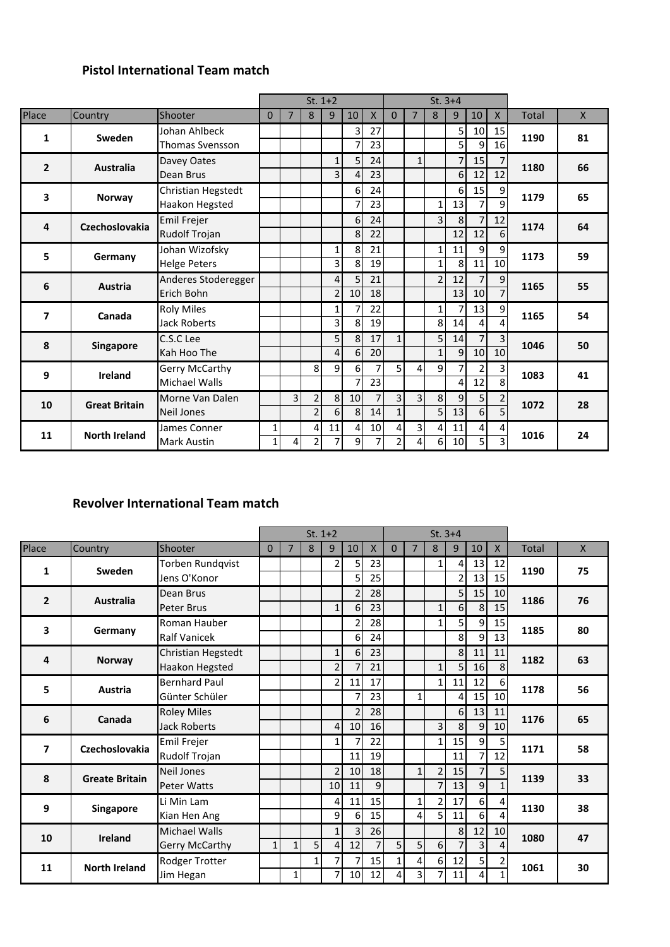## **Pistol International Team match**

|                         |                      |                        | $St. 1+2$<br>7<br>$\Omega$ |   |                |                |                |    |                | $St. 3+4$      |                |                |                 |                         |              |              |
|-------------------------|----------------------|------------------------|----------------------------|---|----------------|----------------|----------------|----|----------------|----------------|----------------|----------------|-----------------|-------------------------|--------------|--------------|
| Place                   | Country              | Shooter                |                            |   | 8              | 9              | 10             | X  | $\mathbf{0}$   | $\overline{7}$ | 8              | 9              | 10              | $\mathsf{X}$            | <b>Total</b> | $\mathsf{X}$ |
| 1                       | Sweden               | Johan Ahlbeck          |                            |   |                |                | 3              | 27 |                |                |                | 5              | 10              | 15                      | 1190         | 81           |
|                         |                      | <b>Thomas Svensson</b> |                            |   |                |                |                | 23 |                |                |                | 5              | 9               | 16                      |              |              |
| $\overline{2}$          | <b>Australia</b>     | Davey Oates            |                            |   |                | 1              | 5 <sup>1</sup> | 24 |                | $\mathbf{1}$   |                | $\overline{7}$ | 15              | $\overline{7}$          | 1180         | 66           |
|                         |                      | Dean Brus              |                            |   |                | 3              | 4              | 23 |                |                |                | 6              | 12              | 12                      |              |              |
| 3                       | <b>Norway</b>        | Christian Hegstedt     |                            |   |                |                | 6 <sup>1</sup> | 24 |                |                |                | 6              | 15              | 9                       | 1179         | 65           |
|                         |                      | Haakon Hegsted         |                            |   |                |                | 7              | 23 |                |                | $\mathbf{1}$   | 13             | 7               | 9                       |              |              |
| 4                       | Czechoslovakia       | Emil Frejer            |                            |   |                |                | 6 <sup>1</sup> | 24 |                |                | 3              | 8              | $\overline{7}$  | 12                      | 1174         | 64           |
|                         |                      | <b>Rudolf Trojan</b>   |                            |   |                |                | 8 <sup>1</sup> | 22 |                |                |                | 12             | 12              | 6                       |              |              |
| 5                       | Germany              | Johan Wizofsky         |                            |   |                | 1              | 8              | 21 |                |                | 1              | 11             | 9               | 9                       | 1173         | 59           |
|                         |                      | <b>Helge Peters</b>    |                            |   |                | 3              | 8              | 19 |                |                | $\mathbf{1}$   | 8              | 11              | 10                      |              |              |
| 6                       | <b>Austria</b>       | Anderes Stoderegger    |                            |   |                | 4              | $\overline{5}$ | 21 |                |                | $\overline{2}$ | 12             | 7               | 9                       | 1165         | 55           |
|                         |                      | Erich Bohn             |                            |   |                | $\overline{2}$ | 10             | 18 |                |                |                | 13             | 10              |                         |              |              |
| $\overline{\mathbf{z}}$ | Canada               | <b>Roly Miles</b>      |                            |   |                | 1              | 7              | 22 |                |                | 1              | 7              | 13 <sup>1</sup> | 9                       | 1165         | 54           |
|                         |                      | <b>Jack Roberts</b>    |                            |   |                | 3              | 8              | 19 |                |                | 8              | 14             | Δ               |                         |              |              |
| 8                       | Singapore            | C.S.C Lee              |                            |   |                | 5              | 8 <sup>1</sup> | 17 | $1\vert$       |                | 5              | 14             | $\overline{7}$  | 3                       | 1046         | 50           |
|                         |                      | Kah Hoo The            |                            |   |                | 4              | $6 \mid$       | 20 |                |                | $\mathbf{1}$   | 9              | 10              | 10                      |              |              |
| 9                       | <b>Ireland</b>       | Gerry McCarthy         |                            |   | 8              | 9              | $6 \mid$       | 7  | 5 <sup>1</sup> | 4              | 9              | 7              | 2               | 3                       | 1083         | 41           |
|                         |                      | Michael Walls          |                            |   |                |                | 7              | 23 |                |                |                | 4              | 12              | $\mathsf{\overline{8}}$ |              |              |
| 10                      | <b>Great Britain</b> | Morne Van Dalen        |                            | 3 | $\overline{2}$ | 8              | 10             | 7  | 3 <sup>1</sup> | 3 <sup>1</sup> | 8              | 9              | 5               | 2                       | 1072         | 28           |
|                         |                      | <b>Neil Jones</b>      |                            |   | $\overline{2}$ | 6              | 8 <sup>1</sup> | 14 | $1\vert$       |                | 5              | 13             | 6               | 5                       |              |              |
| 11                      | <b>North Ireland</b> | James Conner           | 1                          |   | 4              | 11             | $\vert$        | 10 | $\overline{4}$ | $\overline{3}$ | 4              | 11             | $\overline{4}$  | 4                       | 1016         | 24           |
|                         |                      | <b>Mark Austin</b>     | $\mathbf{1}$               | 4 | 2              | 7              | 9              | 7  | $\overline{2}$ | 4              | 6              | 10             | 5 <sub>l</sub>  | ς                       |              |              |

### **Revolver International Team match**

|                          |                       |                         | $St. 1+2$    |              |              |                |                |                | $St. 3+4$      |                |                |                |                |                |       |              |
|--------------------------|-----------------------|-------------------------|--------------|--------------|--------------|----------------|----------------|----------------|----------------|----------------|----------------|----------------|----------------|----------------|-------|--------------|
| Place                    | Country               | Shooter                 | $\Omega$     | 7            | 8            | 9              | 10             | $\mathsf{X}$   | $\overline{0}$ | $\overline{7}$ | 8              | 9              | 10             | $\mathsf{X}$   | Total | $\mathsf{X}$ |
| 1                        | Sweden                | <b>Torben Rundqvist</b> |              |              |              | $\overline{2}$ | 5              | 23             |                |                | $\mathbf{1}$   | $\overline{4}$ | 13             | 12             | 1190  | 75           |
|                          |                       | Jens O'Konor            |              |              |              |                | 5              | 25             |                |                |                | $\overline{2}$ | 13             | 15             |       |              |
| $\overline{2}$           | <b>Australia</b>      | Dean Brus               |              |              |              |                | $\overline{2}$ | 28             |                |                |                | 5 <sup>1</sup> | 15             | 10             | 1186  | 76           |
|                          |                       | <b>Peter Brus</b>       |              |              |              | $1\vert$       | 6              | 23             |                |                | $\mathbf{1}$   | $6\vert$       | 8              | 15             |       |              |
| 3                        | Germany               | Roman Hauber            |              |              |              |                | 2              | 28             |                |                | 1              | 5 <sub>l</sub> | 9              | 15             | 1185  | 80           |
|                          |                       | <b>Ralf Vanicek</b>     |              |              |              |                | 6              | 24             |                |                |                | $\mathbf{8}$   | 9              | 13             |       |              |
| 4                        | <b>Norway</b>         | Christian Hegstedt      |              |              |              | $1\vert$       | 6              | 23             |                |                |                | 8 <sup>1</sup> | 11             | 11             | 1182  | 63           |
|                          |                       | Haakon Hegsted          |              |              |              | 2 <sup>1</sup> |                | 21             |                |                | $\mathbf{1}$   | 5 <sup>1</sup> | 16             | $\mathsf{R}$   |       |              |
| 5                        | Austria               | <b>Bernhard Paul</b>    |              |              |              | $\overline{2}$ | 11             | 17             |                |                | $\mathbf{1}$   | 11             | 12             | $6 \mid$       | 1178  | 56           |
|                          |                       | Günter Schüler          |              |              |              |                |                | 23             |                | $1\vert$       |                | 4              | 15             | 10             |       |              |
| 6                        | Canada                | <b>Roley Miles</b>      |              |              |              |                | $\overline{2}$ | 28             |                |                |                | 6 <sup>1</sup> | 13             | 11             | 1176  | 65           |
|                          |                       | <b>Jack Roberts</b>     |              |              |              | $\overline{4}$ | 10             | 16             |                |                | $\overline{3}$ | 8 <sup>1</sup> | 9              | 10             |       |              |
| $\overline{\phantom{a}}$ | Czechoslovakia        | <b>Emil Frejer</b>      |              |              |              | $1\vert$       | 7              | 22             |                |                | $\mathbf{1}$   | 15             | 9              | 5 <sup>1</sup> | 1171  | 58           |
|                          |                       | Rudolf Trojan           |              |              |              |                | 11             | 19             |                |                |                | 11             | 7              | 12             |       |              |
| 8                        | <b>Greate Britain</b> | <b>Neil Jones</b>       |              |              |              | 2 <sup>1</sup> | 10             | 18             |                | 1 <sup>1</sup> | $\overline{2}$ | 15             | $\overline{7}$ | 5 <sub>1</sub> | 1139  | 33           |
|                          |                       | <b>Peter Watts</b>      |              |              |              | 10             | 11             | 9              |                |                | $\overline{7}$ | 13             | 9              | 1              |       |              |
| 9                        | <b>Singapore</b>      | Li Min Lam              |              |              |              | 4              | 11             | 15             |                | $1\vert$       | $\overline{2}$ | 17             | 6              | $\overline{4}$ | 1130  | 38           |
|                          |                       | Kian Hen Ang            |              |              |              | 9              | 6              | 15             |                | $\overline{4}$ | 5              | 11             | 6              | 4              |       |              |
| 10                       | <b>Ireland</b>        | Michael Walls           |              |              |              | $1\vert$       | 3              | 26             |                |                |                | 8 <sup>1</sup> | 12             | 10             | 1080  | 47           |
|                          |                       | <b>Gerry McCarthy</b>   | $\mathbf{1}$ | $\mathbf{1}$ | 5            | 4              | 12             | $\overline{7}$ | 5              | 5 <sup>1</sup> | 6              | 7              | 3              | 4              |       |              |
| 11                       | <b>North Ireland</b>  | Rodger Trotter          |              |              | $\mathbf{1}$ | 71             |                | 15             | 1              | $\overline{4}$ | 6              | 12             | 5              | 2              | 1061  | 30           |
|                          |                       | Jim Hegan               |              | 1            |              | 7 <sup>1</sup> | 10             | 12             | 4              | $\overline{3}$ | 7              | 11             | 4              |                |       |              |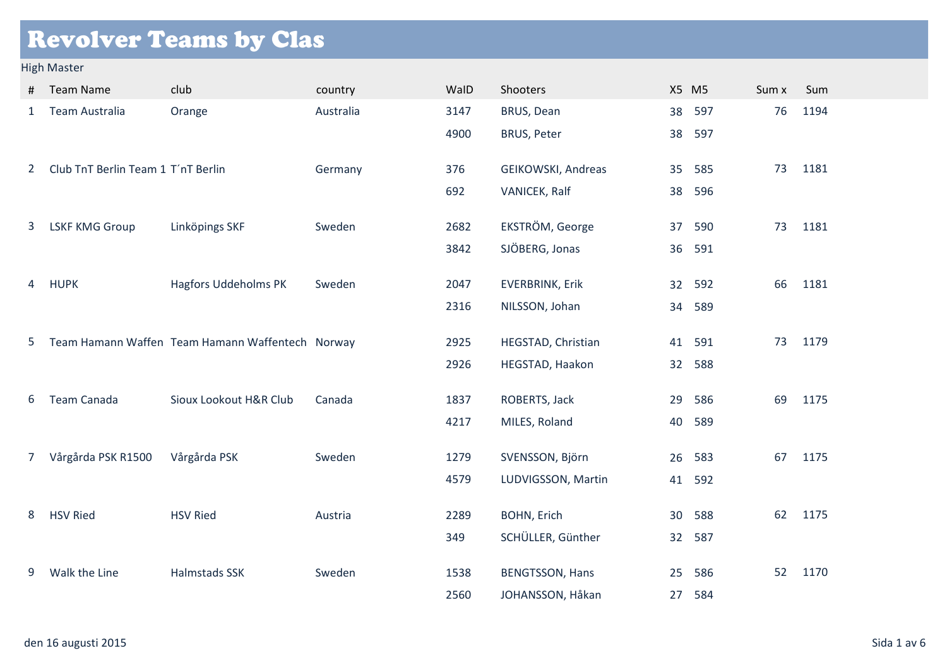# Revolver Teams by Clas

#### High Master

| #                     | <b>Team Name</b>                   | club                                             | country   | WalD | Shooters               |    | X5 M5  | Sum x | Sum  |
|-----------------------|------------------------------------|--------------------------------------------------|-----------|------|------------------------|----|--------|-------|------|
| $\mathbf{1}$          | Team Australia                     | Orange                                           | Australia | 3147 | BRUS, Dean             | 38 | 597    | 76    | 1194 |
|                       |                                    |                                                  |           | 4900 | <b>BRUS, Peter</b>     | 38 | 597    |       |      |
| $\mathbf{2}^{\prime}$ | Club TnT Berlin Team 1 T'nT Berlin |                                                  | Germany   | 376  | GEIKOWSKI, Andreas     | 35 | 585    | 73    | 1181 |
|                       |                                    |                                                  |           | 692  | VANICEK, Ralf          | 38 | 596    |       |      |
| 3                     | <b>LSKF KMG Group</b>              | Linköpings SKF                                   | Sweden    | 2682 | EKSTRÖM, George        | 37 | 590    | 73    | 1181 |
|                       |                                    |                                                  |           | 3842 | SJÖBERG, Jonas         | 36 | 591    |       |      |
| 4                     | <b>HUPK</b>                        | <b>Hagfors Uddeholms PK</b>                      | Sweden    | 2047 | <b>EVERBRINK, Erik</b> |    | 32 592 | 66    | 1181 |
|                       |                                    |                                                  |           | 2316 | NILSSON, Johan         | 34 | 589    |       |      |
| 5                     |                                    | Team Hamann Waffen Team Hamann Waffentech Norway |           | 2925 | HEGSTAD, Christian     | 41 | 591    | 73    | 1179 |
|                       |                                    |                                                  |           | 2926 | HEGSTAD, Haakon        | 32 | 588    |       |      |
| 6                     | <b>Team Canada</b>                 | Sioux Lookout H&R Club                           | Canada    | 1837 | ROBERTS, Jack          | 29 | 586    | 69    | 1175 |
|                       |                                    |                                                  |           | 4217 | MILES, Roland          | 40 | 589    |       |      |
| 7 <sup>7</sup>        | Vårgårda PSK R1500                 | Vårgårda PSK                                     | Sweden    | 1279 | SVENSSON, Björn        | 26 | 583    | 67    | 1175 |
|                       |                                    |                                                  |           | 4579 | LUDVIGSSON, Martin     | 41 | 592    |       |      |
| 8                     | <b>HSV Ried</b>                    | <b>HSV Ried</b>                                  | Austria   | 2289 | <b>BOHN, Erich</b>     | 30 | 588    | 62    | 1175 |
|                       |                                    |                                                  |           | 349  | SCHÜLLER, Günther      | 32 | 587    |       |      |
| 9                     | Walk the Line                      | <b>Halmstads SSK</b>                             | Sweden    | 1538 | <b>BENGTSSON, Hans</b> | 25 | 586    | 52    | 1170 |
|                       |                                    |                                                  |           | 2560 | JOHANSSON, Håkan       | 27 | 584    |       |      |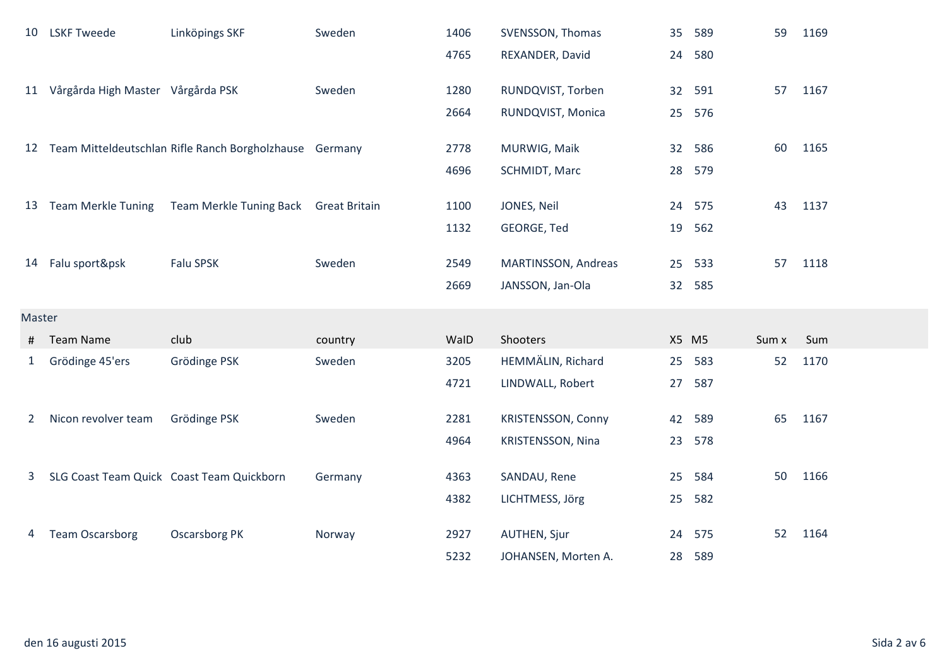| 10           | <b>LSKF Tweede</b>                   | Linköpings SKF                                             | Sweden  | 1406 | SVENSSON, Thomas          |       | 35 589 | 59    | 1169 |
|--------------|--------------------------------------|------------------------------------------------------------|---------|------|---------------------------|-------|--------|-------|------|
|              |                                      |                                                            |         | 4765 | REXANDER, David           | 24    | 580    |       |      |
|              | 11 Vårgårda High Master Vårgårda PSK |                                                            | Sweden  | 1280 | RUNDQVIST, Torben         |       | 32 591 | 57    | 1167 |
|              |                                      |                                                            |         | 2664 | RUNDQVIST, Monica         |       | 25 576 |       |      |
|              |                                      | 12 Team Mitteldeutschlan Rifle Ranch Borgholzhause Germany |         | 2778 | MURWIG, Maik              |       | 32 586 | 60    | 1165 |
|              |                                      |                                                            |         | 4696 | SCHMIDT, Marc             |       | 28 579 |       |      |
|              |                                      |                                                            |         |      |                           |       |        |       |      |
|              | 13 Team Merkle Tuning                | Team Merkle Tuning Back Great Britain                      |         | 1100 | JONES, Neil               |       | 24 575 | 43    | 1137 |
|              |                                      |                                                            |         | 1132 | GEORGE, Ted               | 19    | 562    |       |      |
|              | 14 Falu sport&psk                    | <b>Falu SPSK</b>                                           | Sweden  | 2549 | MARTINSSON, Andreas       |       | 25 533 | 57    | 1118 |
|              |                                      |                                                            |         | 2669 | JANSSON, Jan-Ola          |       | 32 585 |       |      |
| Master       |                                      |                                                            |         |      |                           |       |        |       |      |
| #            | <b>Team Name</b>                     | club                                                       | country | WalD | Shooters                  | X5 M5 |        | Sum x | Sum  |
| $\mathbf{1}$ | Grödinge 45'ers                      | Grödinge PSK                                               | Sweden  | 3205 | HEMMÄLIN, Richard         | 25    | 583    | 52    | 1170 |
|              |                                      |                                                            |         | 4721 | LINDWALL, Robert          | 27    | 587    |       |      |
| $\mathbf{2}$ | Nicon revolver team                  | Grödinge PSK                                               | Sweden  | 2281 | <b>KRISTENSSON, Conny</b> |       | 42 589 | 65    | 1167 |
|              |                                      |                                                            |         | 4964 | KRISTENSSON, Nina         | 23    | 578    |       |      |
|              |                                      | SLG Coast Team Quick Coast Team Quickborn                  |         |      |                           |       | 584    | 50    |      |
| 3            |                                      |                                                            | Germany | 4363 | SANDAU, Rene              | 25    |        |       | 1166 |
|              |                                      |                                                            |         | 4382 | LICHTMESS, Jörg           | 25    | 582    |       |      |
| 4            | <b>Team Oscarsborg</b>               | <b>Oscarsborg PK</b>                                       | Norway  | 2927 | AUTHEN, Sjur              | 24    | 575    | 52    | 1164 |
|              |                                      |                                                            |         | 5232 | JOHANSEN, Morten A.       |       | 28 589 |       |      |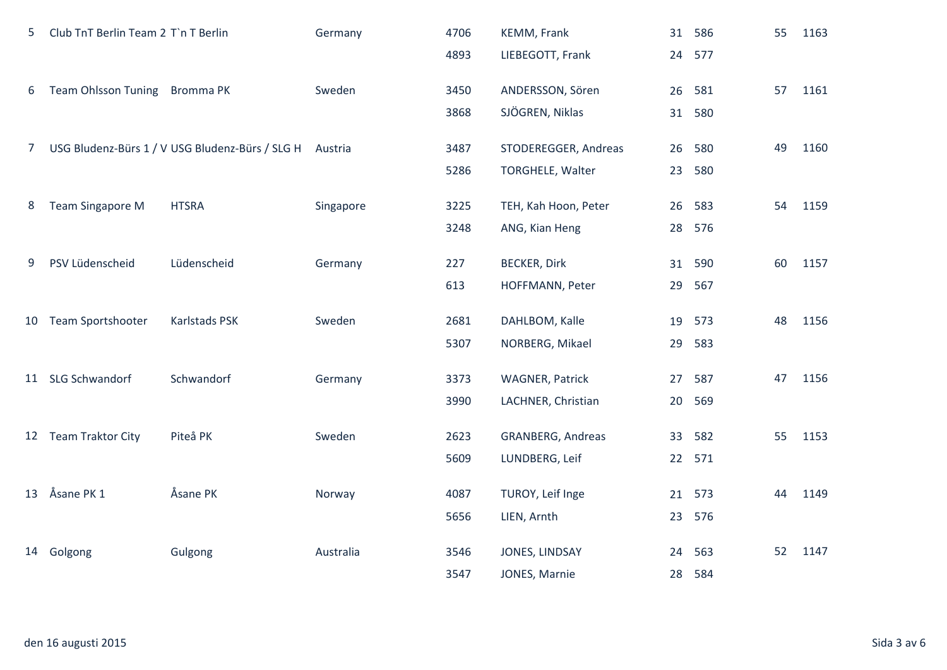| 5           | Club TnT Berlin Team 2 T`n T Berlin |                                                 | Germany   | 4706 | KEMM, Frank              | 31 | 586    | 55 | 1163 |
|-------------|-------------------------------------|-------------------------------------------------|-----------|------|--------------------------|----|--------|----|------|
|             |                                     |                                                 |           | 4893 | LIEBEGOTT, Frank         |    | 24 577 |    |      |
| 6           | Team Ohlsson Tuning Bromma PK       |                                                 | Sweden    | 3450 | ANDERSSON, Sören         | 26 | 581    | 57 | 1161 |
|             |                                     |                                                 |           | 3868 | SJÖGREN, Niklas          | 31 | 580    |    |      |
|             |                                     |                                                 |           |      |                          |    |        |    |      |
| $7^{\circ}$ |                                     | USG Bludenz-Bürs 1 / V USG Bludenz-Bürs / SLG H | Austria   | 3487 | STODEREGGER, Andreas     | 26 | 580    | 49 | 1160 |
|             |                                     |                                                 |           | 5286 | TORGHELE, Walter         | 23 | 580    |    |      |
| 8           | <b>Team Singapore M</b>             | <b>HTSRA</b>                                    | Singapore | 3225 | TEH, Kah Hoon, Peter     | 26 | 583    | 54 | 1159 |
|             |                                     |                                                 |           | 3248 | ANG, Kian Heng           |    | 28 576 |    |      |
| 9           | PSV Lüdenscheid                     | Lüdenscheid                                     | Germany   | 227  | <b>BECKER, Dirk</b>      |    | 31 590 | 60 | 1157 |
|             |                                     |                                                 |           |      |                          |    |        |    |      |
|             |                                     |                                                 |           | 613  | HOFFMANN, Peter          | 29 | 567    |    |      |
|             | 10 Team Sportshooter                | Karlstads PSK                                   | Sweden    | 2681 | DAHLBOM, Kalle           | 19 | 573    | 48 | 1156 |
|             |                                     |                                                 |           | 5307 | NORBERG, Mikael          | 29 | 583    |    |      |
|             | 11 SLG Schwandorf                   | Schwandorf                                      | Germany   | 3373 | <b>WAGNER, Patrick</b>   | 27 | 587    | 47 | 1156 |
|             |                                     |                                                 |           | 3990 | LACHNER, Christian       | 20 | 569    |    |      |
|             |                                     |                                                 |           |      |                          |    |        |    |      |
|             | 12 Team Traktor City                | Piteå PK                                        | Sweden    | 2623 | <b>GRANBERG, Andreas</b> | 33 | 582    | 55 | 1153 |
|             |                                     |                                                 |           | 5609 | LUNDBERG, Leif           |    | 22 571 |    |      |
|             | 13 Åsane PK 1                       | Åsane PK                                        | Norway    | 4087 | TUROY, Leif Inge         |    | 21 573 | 44 | 1149 |
|             |                                     |                                                 |           | 5656 |                          |    | 576    |    |      |
|             |                                     |                                                 |           |      | LIEN, Arnth              | 23 |        |    |      |
|             | 14 Golgong                          | Gulgong                                         | Australia | 3546 | JONES, LINDSAY           | 24 | 563    | 52 | 1147 |
|             |                                     |                                                 |           | 3547 | JONES, Marnie            | 28 | 584    |    |      |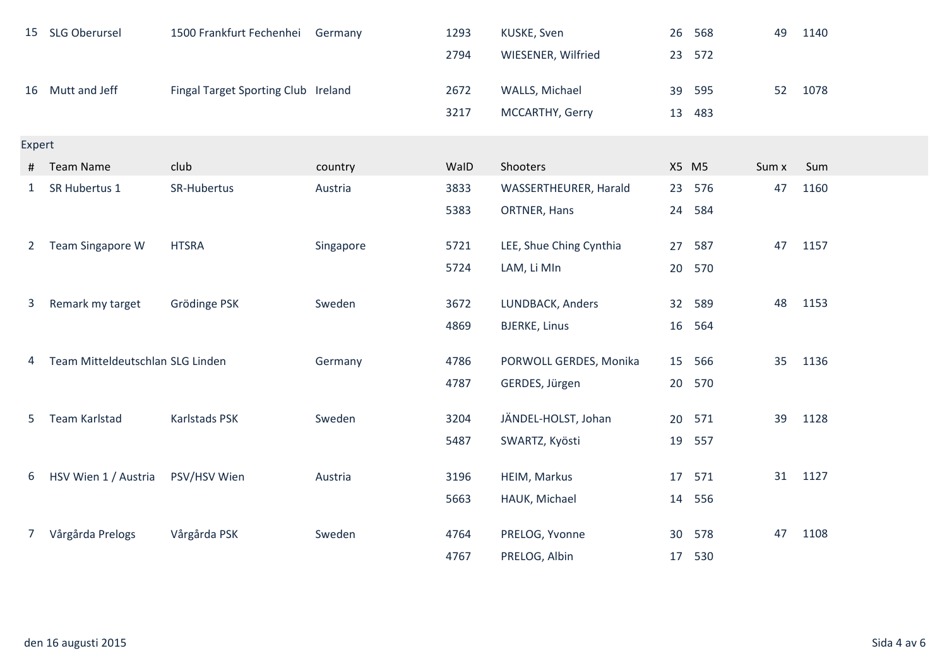|                | 15 SLG Oberursel                 | 1500 Frankfurt Fechenhei            | Germany   | 1293 | KUSKE, Sven             | 26    | 568 | 49    | 1140 |
|----------------|----------------------------------|-------------------------------------|-----------|------|-------------------------|-------|-----|-------|------|
|                |                                  |                                     |           | 2794 | WIESENER, Wilfried      | 23    | 572 |       |      |
|                | 16 Mutt and Jeff                 | Fingal Target Sporting Club Ireland |           | 2672 | WALLS, Michael          | 39    | 595 | 52    | 1078 |
|                |                                  |                                     |           | 3217 | MCCARTHY, Gerry         | 13    | 483 |       |      |
| Expert         |                                  |                                     |           |      |                         |       |     |       |      |
| #              | Team Name                        | club                                | country   | WalD | Shooters                | X5 M5 |     | Sum x | Sum  |
| $\mathbf{1}$   | SR Hubertus 1                    | SR-Hubertus                         | Austria   | 3833 | WASSERTHEURER, Harald   | 23    | 576 | 47    | 1160 |
|                |                                  |                                     |           | 5383 | ORTNER, Hans            | 24    | 584 |       |      |
| 2              | Team Singapore W                 | <b>HTSRA</b>                        | Singapore | 5721 | LEE, Shue Ching Cynthia | 27    | 587 | 47    | 1157 |
|                |                                  |                                     |           | 5724 | LAM, Li MIn             | 20    | 570 |       |      |
| 3              | Remark my target                 | Grödinge PSK                        | Sweden    | 3672 | LUNDBACK, Anders        | 32    | 589 | 48    | 1153 |
|                |                                  |                                     |           | 4869 | <b>BJERKE, Linus</b>    | 16    | 564 |       |      |
| 4              | Team Mitteldeutschlan SLG Linden |                                     | Germany   | 4786 | PORWOLL GERDES, Monika  | 15    | 566 | 35    | 1136 |
|                |                                  |                                     |           | 4787 | GERDES, Jürgen          | 20    | 570 |       |      |
| 5              | Team Karlstad                    | Karlstads PSK                       | Sweden    | 3204 | JÄNDEL-HOLST, Johan     | 20    | 571 | 39    | 1128 |
|                |                                  |                                     |           | 5487 | SWARTZ, Kyösti          | 19    | 557 |       |      |
|                |                                  |                                     |           |      |                         |       |     |       |      |
| 6              | HSV Wien 1 / Austria             | PSV/HSV Wien                        | Austria   | 3196 | HEIM, Markus            | 17    | 571 | 31    | 1127 |
|                |                                  |                                     |           | 5663 | HAUK, Michael           | 14    | 556 |       |      |
| 7 <sup>7</sup> | Vårgårda Prelogs                 | Vårgårda PSK                        | Sweden    | 4764 | PRELOG, Yvonne          | 30    | 578 | 47    | 1108 |
|                |                                  |                                     |           | 4767 | PRELOG, Albin           | 17    | 530 |       |      |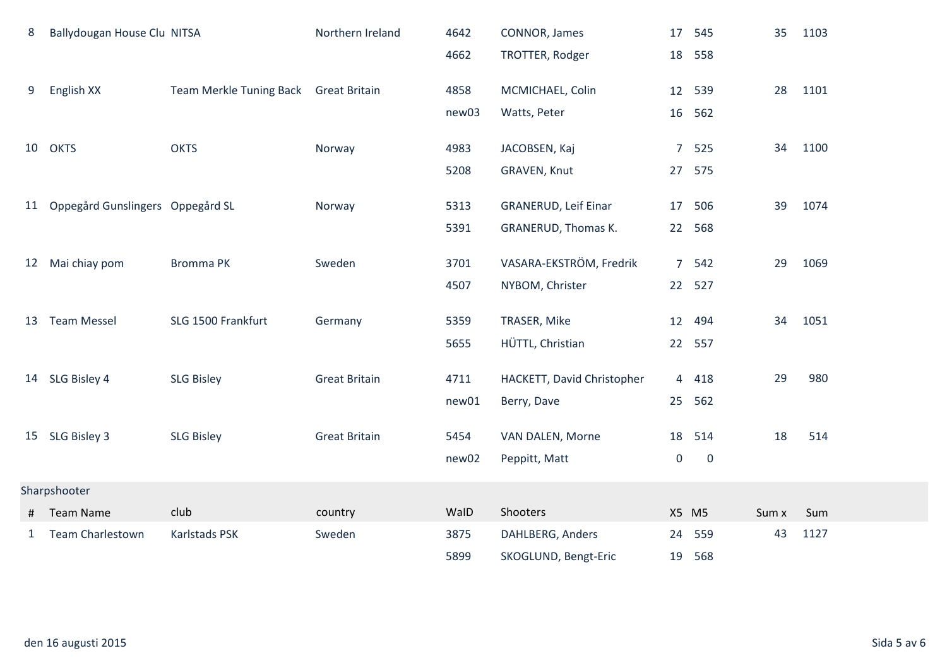| 8  | Ballydougan House Clu NITSA      |                                | Northern Ireland     | 4642  | CONNOR, James               | 17             | 545         | 35    | 1103 |
|----|----------------------------------|--------------------------------|----------------------|-------|-----------------------------|----------------|-------------|-------|------|
|    |                                  |                                |                      | 4662  | TROTTER, Rodger             | 18             | 558         |       |      |
| 9  | English XX                       | <b>Team Merkle Tuning Back</b> | <b>Great Britain</b> | 4858  | MCMICHAEL, Colin            | 12             | 539         | 28    | 1101 |
|    |                                  |                                |                      | new03 | Watts, Peter                | 16             | 562         |       |      |
|    |                                  |                                |                      |       |                             |                |             |       |      |
| 10 | <b>OKTS</b>                      | <b>OKTS</b>                    | Norway               | 4983  | JACOBSEN, Kaj               | $\overline{7}$ | 525         | 34    | 1100 |
|    |                                  |                                |                      | 5208  | GRAVEN, Knut                | 27             | 575         |       |      |
| 11 | Oppegård Gunslingers Oppegård SL |                                | Norway               | 5313  | <b>GRANERUD, Leif Einar</b> | 17             | 506         | 39    | 1074 |
|    |                                  |                                |                      | 5391  | GRANERUD, Thomas K.         | 22             | 568         |       |      |
|    |                                  |                                |                      |       |                             |                |             |       |      |
| 12 | Mai chiay pom                    | <b>Bromma PK</b>               | Sweden               | 3701  | VASARA-EKSTRÖM, Fredrik     | $\overline{7}$ | 542         | 29    | 1069 |
|    |                                  |                                |                      | 4507  | NYBOM, Christer             | 22             | 527         |       |      |
| 13 | <b>Team Messel</b>               | SLG 1500 Frankfurt             | Germany              | 5359  | TRASER, Mike                |                | 12 494      | 34    | 1051 |
|    |                                  |                                |                      | 5655  | HÜTTL, Christian            |                | 22 557      |       |      |
|    |                                  |                                | <b>Great Britain</b> | 4711  |                             |                | 418         | 29    | 980  |
|    | 14 SLG Bisley 4                  | <b>SLG Bisley</b>              |                      |       | HACKETT, David Christopher  | 4              |             |       |      |
|    |                                  |                                |                      | new01 | Berry, Dave                 | 25             | 562         |       |      |
|    | 15 SLG Bisley 3                  | <b>SLG Bisley</b>              | <b>Great Britain</b> | 5454  | VAN DALEN, Morne            | 18             | 514         | 18    | 514  |
|    |                                  |                                |                      | new02 | Peppitt, Matt               | 0              | $\mathbf 0$ |       |      |
|    | Sharpshooter                     |                                |                      |       |                             |                |             |       |      |
| #  | <b>Team Name</b>                 | club                           | country              | WalD  | Shooters                    |                | X5 M5       | Sum x | Sum  |
| 1  | Team Charlestown                 | Karlstads PSK                  | Sweden               | 3875  | DAHLBERG, Anders            | 24             | 559         | 43    | 1127 |
|    |                                  |                                |                      | 5899  | SKOGLUND, Bengt-Eric        | 19             | 568         |       |      |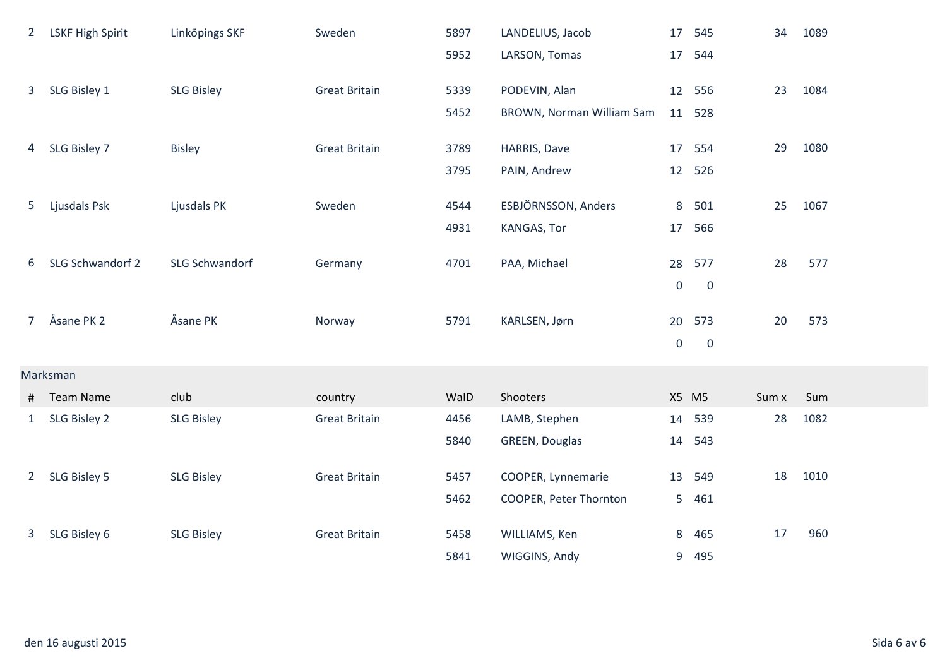| $\mathbf{2}$   | <b>LSKF High Spirit</b> | Linköpings SKF        | Sweden               | 5897 | LANDELIUS, Jacob          |                  | 17 545      | 34    | 1089 |
|----------------|-------------------------|-----------------------|----------------------|------|---------------------------|------------------|-------------|-------|------|
|                |                         |                       |                      | 5952 | LARSON, Tomas             | 17               | 544         |       |      |
| 3              | SLG Bisley 1            | <b>SLG Bisley</b>     | <b>Great Britain</b> | 5339 | PODEVIN, Alan             |                  | 12 556      | 23    | 1084 |
|                |                         |                       |                      | 5452 | BROWN, Norman William Sam | 11               | 528         |       |      |
| 4              | SLG Bisley 7            | <b>Bisley</b>         | <b>Great Britain</b> | 3789 | HARRIS, Dave              |                  | 17 554      | 29    | 1080 |
|                |                         |                       |                      | 3795 | PAIN, Andrew              | 12               | 526         |       |      |
| 5              | Ljusdals Psk            | Ljusdals PK           | Sweden               | 4544 | ESBJÖRNSSON, Anders       | 8                | 501         | 25    | 1067 |
|                |                         |                       |                      | 4931 | KANGAS, Tor               | 17               | 566         |       |      |
|                |                         |                       |                      |      |                           |                  |             |       |      |
| 6              | SLG Schwandorf 2        | <b>SLG Schwandorf</b> | Germany              | 4701 | PAA, Michael              |                  | 28 577      | 28    | 577  |
|                |                         |                       |                      |      |                           | $\mathbf 0$      | $\mathbf 0$ |       |      |
| 7 <sup>7</sup> | Åsane PK 2              | Åsane PK              | Norway               | 5791 | KARLSEN, Jørn             | 20               | 573         | 20    | 573  |
|                |                         |                       |                      |      |                           | $\boldsymbol{0}$ | $\mathbf 0$ |       |      |
|                |                         |                       |                      |      |                           |                  |             |       |      |
|                | Marksman                |                       |                      |      |                           |                  |             |       |      |
| #              | <b>Team Name</b>        | club                  | country              | WalD | Shooters                  |                  | X5 M5       | Sum x | Sum  |
| $\mathbf{1}$   | SLG Bisley 2            | <b>SLG Bisley</b>     | <b>Great Britain</b> | 4456 | LAMB, Stephen             | 14               | 539         | 28    | 1082 |
|                |                         |                       |                      | 5840 | GREEN, Douglas            | 14               | 543         |       |      |
| $2^{\circ}$    | SLG Bisley 5            | <b>SLG Bisley</b>     | <b>Great Britain</b> | 5457 | COOPER, Lynnemarie        | 13               | 549         | 18    | 1010 |
|                |                         |                       |                      | 5462 | COOPER, Peter Thornton    | 5                | 461         |       |      |
| 3 <sup>1</sup> | SLG Bisley 6            | <b>SLG Bisley</b>     | <b>Great Britain</b> | 5458 | WILLIAMS, Ken             | 8                | 465         | 17    | 960  |
|                |                         |                       |                      | 5841 | WIGGINS, Andy             | 9                | 495         |       |      |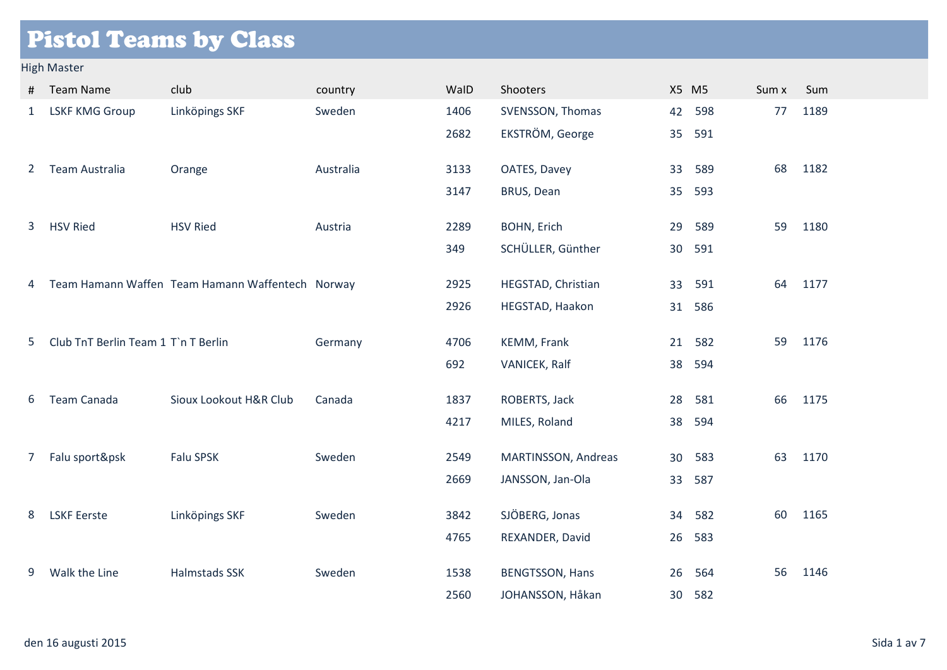# Pistol Teams by Class

### High Master

| #                     | <b>Team Name</b>                    | club                                             | country   | WalD | Shooters               | X5 M5 |     | Sum x | Sum  |
|-----------------------|-------------------------------------|--------------------------------------------------|-----------|------|------------------------|-------|-----|-------|------|
| $\mathbf{1}$          | <b>LSKF KMG Group</b>               | Linköpings SKF                                   | Sweden    | 1406 | SVENSSON, Thomas       | 42    | 598 | 77    | 1189 |
|                       |                                     |                                                  |           | 2682 | EKSTRÖM, George        | 35    | 591 |       |      |
| $\mathbf{2}^{\prime}$ | <b>Team Australia</b>               | Orange                                           | Australia | 3133 | OATES, Davey           | 33    | 589 | 68    | 1182 |
|                       |                                     |                                                  |           | 3147 | BRUS, Dean             | 35    | 593 |       |      |
| 3                     | <b>HSV Ried</b>                     | <b>HSV Ried</b>                                  | Austria   | 2289 | <b>BOHN, Erich</b>     | 29    | 589 | 59    | 1180 |
|                       |                                     |                                                  |           | 349  | SCHÜLLER, Günther      | 30    | 591 |       |      |
| 4                     |                                     | Team Hamann Waffen Team Hamann Waffentech Norway |           | 2925 | HEGSTAD, Christian     | 33    | 591 | 64    | 1177 |
|                       |                                     |                                                  |           | 2926 | HEGSTAD, Haakon        | 31    | 586 |       |      |
| 5                     | Club TnT Berlin Team 1 T`n T Berlin |                                                  | Germany   | 4706 | KEMM, Frank            | 21    | 582 | 59    | 1176 |
|                       |                                     |                                                  |           | 692  | VANICEK, Ralf          | 38    | 594 |       |      |
| 6                     | Team Canada                         | Sioux Lookout H&R Club                           | Canada    | 1837 | ROBERTS, Jack          | 28    | 581 | 66    | 1175 |
|                       |                                     |                                                  |           |      |                        |       |     |       |      |
|                       |                                     |                                                  |           | 4217 | MILES, Roland          | 38    | 594 |       |      |
| 7                     | Falu sport&psk                      | Falu SPSK                                        | Sweden    | 2549 | MARTINSSON, Andreas    | 30    | 583 | 63    | 1170 |
|                       |                                     |                                                  |           | 2669 | JANSSON, Jan-Ola       | 33    | 587 |       |      |
| 8                     | <b>LSKF Eerste</b>                  | Linköpings SKF                                   | Sweden    | 3842 | SJÖBERG, Jonas         | 34    | 582 | 60    | 1165 |
|                       |                                     |                                                  |           | 4765 | REXANDER, David        | 26    | 583 |       |      |
| 9                     | Walk the Line                       | <b>Halmstads SSK</b>                             | Sweden    | 1538 | <b>BENGTSSON, Hans</b> | 26    | 564 | 56    | 1146 |
|                       |                                     |                                                  |           | 2560 | JOHANSSON, Håkan       | 30    | 582 |       |      |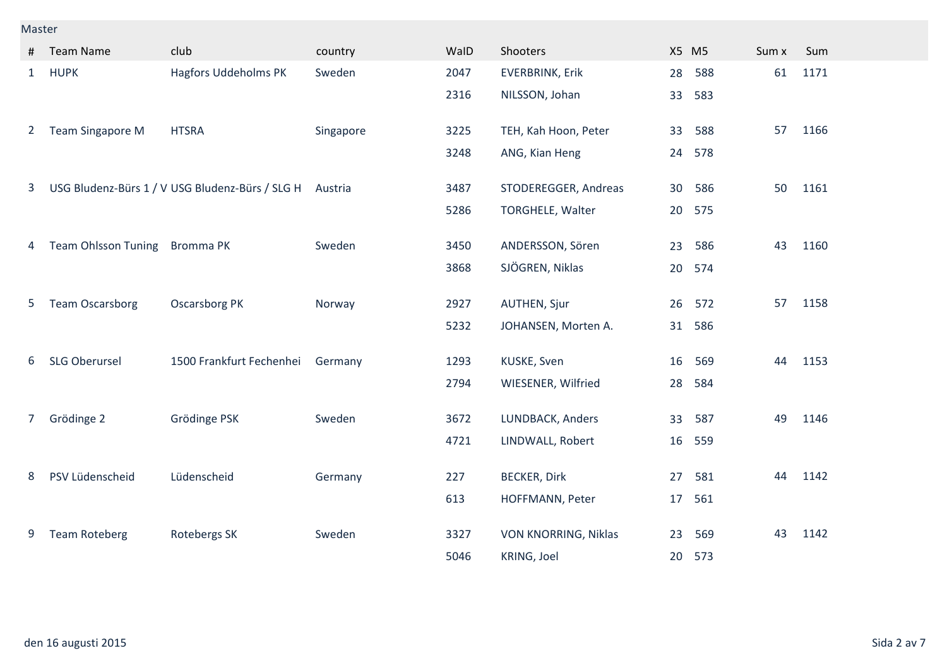#### Master

| #              | <b>Team Name</b>           | club                                            | country   | WalD | Shooters                |    | X5 M5 | Sum x | Sum  |
|----------------|----------------------------|-------------------------------------------------|-----------|------|-------------------------|----|-------|-------|------|
| $\mathbf{1}$   | <b>HUPK</b>                | <b>Hagfors Uddeholms PK</b>                     | Sweden    | 2047 | <b>EVERBRINK, Erik</b>  | 28 | 588   | 61    | 1171 |
|                |                            |                                                 |           | 2316 | NILSSON, Johan          | 33 | 583   |       |      |
| $2^{\circ}$    | <b>Team Singapore M</b>    | <b>HTSRA</b>                                    | Singapore | 3225 | TEH, Kah Hoon, Peter    | 33 | 588   | 57    | 1166 |
|                |                            |                                                 |           | 3248 | ANG, Kian Heng          | 24 | 578   |       |      |
| $\mathbf{3}$   |                            | USG Bludenz-Bürs 1 / V USG Bludenz-Bürs / SLG H | Austria   | 3487 | STODEREGGER, Andreas    | 30 | 586   | 50    | 1161 |
|                |                            |                                                 |           | 5286 | <b>TORGHELE, Walter</b> | 20 | 575   |       |      |
| 4              | <b>Team Ohlsson Tuning</b> | <b>Bromma PK</b>                                | Sweden    | 3450 | ANDERSSON, Sören        | 23 | 586   | 43    | 1160 |
|                |                            |                                                 |           | 3868 | SJÖGREN, Niklas         | 20 | 574   |       |      |
| 5              | <b>Team Oscarsborg</b>     | <b>Oscarsborg PK</b>                            | Norway    | 2927 | <b>AUTHEN, Sjur</b>     | 26 | 572   | 57    | 1158 |
|                |                            |                                                 |           | 5232 | JOHANSEN, Morten A.     | 31 | 586   |       |      |
| 6              | <b>SLG Oberursel</b>       | 1500 Frankfurt Fechenhei                        | Germany   | 1293 | KUSKE, Sven             | 16 | 569   | 44    | 1153 |
|                |                            |                                                 |           | 2794 | WIESENER, Wilfried      | 28 | 584   |       |      |
| $\overline{7}$ | Grödinge 2                 | Grödinge PSK                                    | Sweden    | 3672 | LUNDBACK, Anders        | 33 | 587   | 49    | 1146 |
|                |                            |                                                 |           | 4721 | LINDWALL, Robert        | 16 | 559   |       |      |
| 8              | PSV Lüdenscheid            | Lüdenscheid                                     | Germany   | 227  | <b>BECKER, Dirk</b>     | 27 | 581   | 44    | 1142 |
|                |                            |                                                 |           | 613  | HOFFMANN, Peter         | 17 | 561   |       |      |
| 9              | <b>Team Roteberg</b>       | Rotebergs SK                                    | Sweden    | 3327 | VON KNORRING, Niklas    | 23 | 569   | 43    | 1142 |
|                |                            |                                                 |           | 5046 | KRING, Joel             | 20 | 573   |       |      |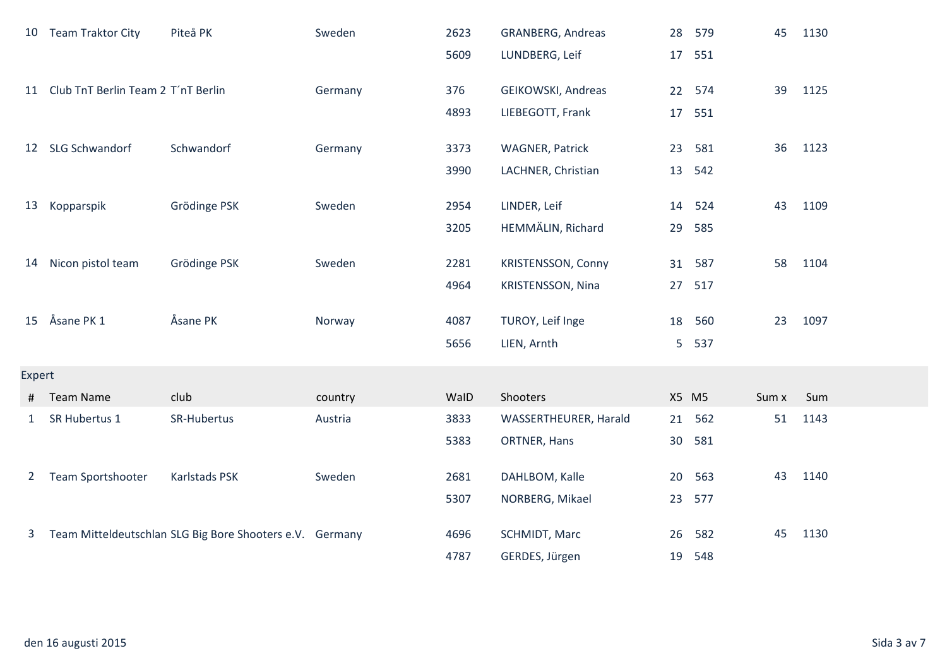|                | 10 Team Traktor City                  | Piteå PK                                                 | Sweden  | 2623 | <b>GRANBERG, Andreas</b>  | 28 | 579    | 45    | 1130 |
|----------------|---------------------------------------|----------------------------------------------------------|---------|------|---------------------------|----|--------|-------|------|
|                |                                       |                                                          |         | 5609 | LUNDBERG, Leif            | 17 | 551    |       |      |
|                | 11 Club TnT Berlin Team 2 T'nT Berlin |                                                          | Germany | 376  | GEIKOWSKI, Andreas        |    | 22 574 | 39    | 1125 |
|                |                                       |                                                          |         | 4893 | LIEBEGOTT, Frank          |    | 17 551 |       |      |
|                | 12 SLG Schwandorf                     | Schwandorf                                               | Germany | 3373 | <b>WAGNER, Patrick</b>    | 23 | 581    | 36    | 1123 |
|                |                                       |                                                          |         | 3990 | LACHNER, Christian        | 13 | 542    |       |      |
| 13             | Kopparspik                            | Grödinge PSK                                             | Sweden  | 2954 | LINDER, Leif              | 14 | 524    | 43    | 1109 |
|                |                                       |                                                          |         | 3205 | HEMMÄLIN, Richard         | 29 | 585    |       |      |
| 14             | Nicon pistol team                     | Grödinge PSK                                             | Sweden  | 2281 | <b>KRISTENSSON, Conny</b> |    | 31 587 | 58    | 1104 |
|                |                                       |                                                          |         | 4964 | KRISTENSSON, Nina         | 27 | 517    |       |      |
| 15             | Åsane PK 1                            | Åsane PK                                                 | Norway  | 4087 | TUROY, Leif Inge          | 18 | 560    | 23    | 1097 |
|                |                                       |                                                          |         | 5656 | LIEN, Arnth               | 5  | 537    |       |      |
| Expert         |                                       |                                                          |         |      |                           |    |        |       |      |
| #              | <b>Team Name</b>                      | club                                                     | country | WalD | Shooters                  |    | X5 M5  | Sum x | Sum  |
| $\mathbf{1}$   | SR Hubertus 1                         | SR-Hubertus                                              | Austria | 3833 | WASSERTHEURER, Harald     | 21 | 562    | 51    | 1143 |
|                |                                       |                                                          |         | 5383 | ORTNER, Hans              | 30 | 581    |       |      |
| $\overline{2}$ | Team Sportshooter                     | Karlstads PSK                                            | Sweden  | 2681 | DAHLBOM, Kalle            | 20 | 563    | 43    | 1140 |
|                |                                       |                                                          |         | 5307 | NORBERG, Mikael           | 23 | 577    |       |      |
| $\mathbf{3}$   |                                       | Team Mitteldeutschlan SLG Big Bore Shooters e.V. Germany |         | 4696 | SCHMIDT, Marc             | 26 | 582    | 45    | 1130 |
|                |                                       |                                                          |         | 4787 | GERDES, Jürgen            | 19 | 548    |       |      |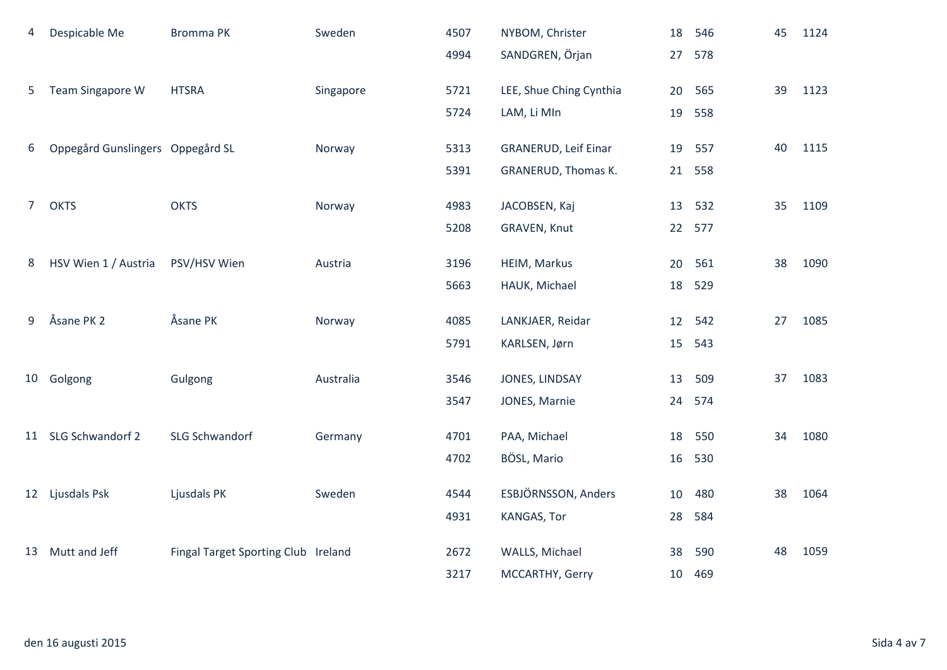| 4              | Despicable Me                    | <b>Bromma PK</b>                    | Sweden    | 4507 | NYBOM, Christer            |    | 18 546 | 45 | 1124 |
|----------------|----------------------------------|-------------------------------------|-----------|------|----------------------------|----|--------|----|------|
|                |                                  |                                     |           | 4994 | SANDGREN, Örjan            | 27 | 578    |    |      |
| 5              | Team Singapore W                 | <b>HTSRA</b>                        | Singapore | 5721 | LEE, Shue Ching Cynthia    | 20 | 565    | 39 | 1123 |
|                |                                  |                                     |           | 5724 | LAM, Li MIn                | 19 | 558    |    |      |
| 6              | Oppegård Gunslingers Oppegård SL |                                     | Norway    | 5313 | GRANERUD, Leif Einar       | 19 | 557    | 40 | 1115 |
|                |                                  |                                     |           | 5391 | <b>GRANERUD, Thomas K.</b> | 21 | 558    |    |      |
| 7 <sup>7</sup> | <b>OKTS</b>                      | <b>OKTS</b>                         | Norway    | 4983 | JACOBSEN, Kaj              |    | 13 532 | 35 | 1109 |
|                |                                  |                                     |           | 5208 | GRAVEN, Knut               |    | 22 577 |    |      |
| 8              | HSV Wien 1 / Austria             | PSV/HSV Wien                        | Austria   | 3196 | HEIM, Markus               | 20 | 561    | 38 | 1090 |
|                |                                  |                                     |           | 5663 | HAUK, Michael              | 18 | 529    |    |      |
|                | Åsane PK 2                       | Åsane PK                            |           |      |                            |    |        |    |      |
| 9              |                                  |                                     | Norway    | 4085 | LANKJAER, Reidar           | 12 | 542    | 27 | 1085 |
|                |                                  |                                     |           | 5791 | KARLSEN, Jørn              | 15 | 543    |    |      |
| 10             | Golgong                          | Gulgong                             | Australia | 3546 | JONES, LINDSAY             | 13 | 509    | 37 | 1083 |
|                |                                  |                                     |           | 3547 | JONES, Marnie              | 24 | 574    |    |      |
|                | 11 SLG Schwandorf 2              | <b>SLG Schwandorf</b>               | Germany   | 4701 | PAA, Michael               | 18 | 550    | 34 | 1080 |
|                |                                  |                                     |           | 4702 | BÖSL, Mario                | 16 | 530    |    |      |
|                | 12 Ljusdals Psk                  | Ljusdals PK                         | Sweden    | 4544 | ESBJÖRNSSON, Anders        | 10 | 480    | 38 | 1064 |
|                |                                  |                                     |           | 4931 | KANGAS, Tor                | 28 | 584    |    |      |
|                |                                  |                                     |           |      |                            |    |        |    |      |
|                | 13 Mutt and Jeff                 | Fingal Target Sporting Club Ireland |           | 2672 | WALLS, Michael             | 38 | 590    | 48 | 1059 |
|                |                                  |                                     |           | 3217 | MCCARTHY, Gerry            | 10 | 469    |    |      |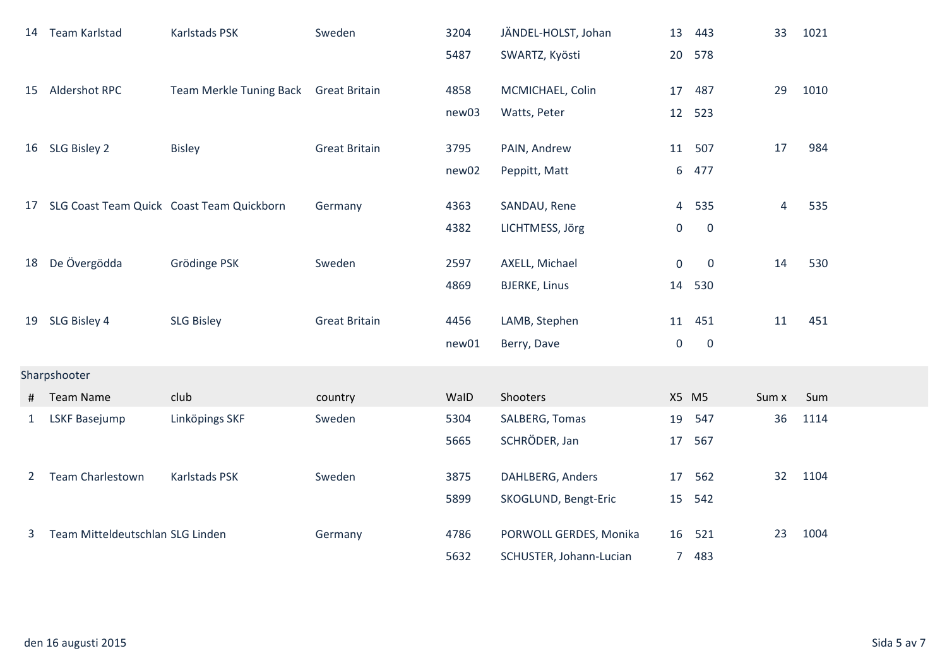|              | 14 Team Karlstad                 | Karlstads PSK                             | Sweden               | 3204  | JÄNDEL-HOLST, Johan     | 13          | 443         | 33    | 1021 |  |  |
|--------------|----------------------------------|-------------------------------------------|----------------------|-------|-------------------------|-------------|-------------|-------|------|--|--|
|              |                                  |                                           |                      | 5487  | SWARTZ, Kyösti          | 20          | 578         |       |      |  |  |
| 15           | Aldershot RPC                    | Team Merkle Tuning Back                   | <b>Great Britain</b> | 4858  | MCMICHAEL, Colin        | 17          | 487         | 29    | 1010 |  |  |
|              |                                  |                                           |                      | new03 | Watts, Peter            | 12          | 523         |       |      |  |  |
|              |                                  |                                           |                      |       |                         |             |             |       |      |  |  |
|              | 16 SLG Bisley 2                  | <b>Bisley</b>                             | <b>Great Britain</b> | 3795  | PAIN, Andrew            |             | 11 507      | 17    | 984  |  |  |
|              |                                  |                                           |                      | new02 | Peppitt, Matt           | 6           | 477         |       |      |  |  |
| 17           |                                  | SLG Coast Team Quick Coast Team Quickborn | Germany              | 4363  | SANDAU, Rene            | 4           | 535         | 4     | 535  |  |  |
|              |                                  |                                           |                      | 4382  | LICHTMESS, Jörg         | $\mathbf 0$ | $\mathbf 0$ |       |      |  |  |
| 18           | De Övergödda                     | Grödinge PSK                              | Sweden               | 2597  | AXELL, Michael          | $\mathbf 0$ | $\mathbf 0$ | 14    | 530  |  |  |
|              |                                  |                                           |                      |       |                         |             |             |       |      |  |  |
|              |                                  |                                           |                      | 4869  | <b>BJERKE, Linus</b>    | 14          | 530         |       |      |  |  |
|              | 19 SLG Bisley 4                  | <b>SLG Bisley</b>                         | <b>Great Britain</b> | 4456  | LAMB, Stephen           | 11          | 451         | 11    | 451  |  |  |
|              |                                  |                                           |                      | new01 | Berry, Dave             | $\mathbf 0$ | $\mathbf 0$ |       |      |  |  |
|              | Sharpshooter                     |                                           |                      |       |                         |             |             |       |      |  |  |
| #            | <b>Team Name</b>                 | club                                      | country              | WalD  | Shooters                |             | X5 M5       | Sum x | Sum  |  |  |
| $\mathbf{1}$ | <b>LSKF Basejump</b>             | Linköpings SKF                            | Sweden               | 5304  | SALBERG, Tomas          | 19          | 547         | 36    | 1114 |  |  |
|              |                                  |                                           |                      | 5665  | SCHRÖDER, Jan           | 17          | 567         |       |      |  |  |
| $2^{\circ}$  | <b>Team Charlestown</b>          | Karlstads PSK                             | Sweden               | 3875  | DAHLBERG, Anders        | 17          | 562         | 32    | 1104 |  |  |
|              |                                  |                                           |                      | 5899  | SKOGLUND, Bengt-Eric    | 15          | 542         |       |      |  |  |
|              |                                  |                                           |                      |       |                         |             |             |       |      |  |  |
| 3            | Team Mitteldeutschlan SLG Linden |                                           | Germany              | 4786  | PORWOLL GERDES, Monika  | 16          | 521         | 23    | 1004 |  |  |
|              |                                  |                                           |                      | 5632  | SCHUSTER, Johann-Lucian | $7^{\circ}$ | 483         |       |      |  |  |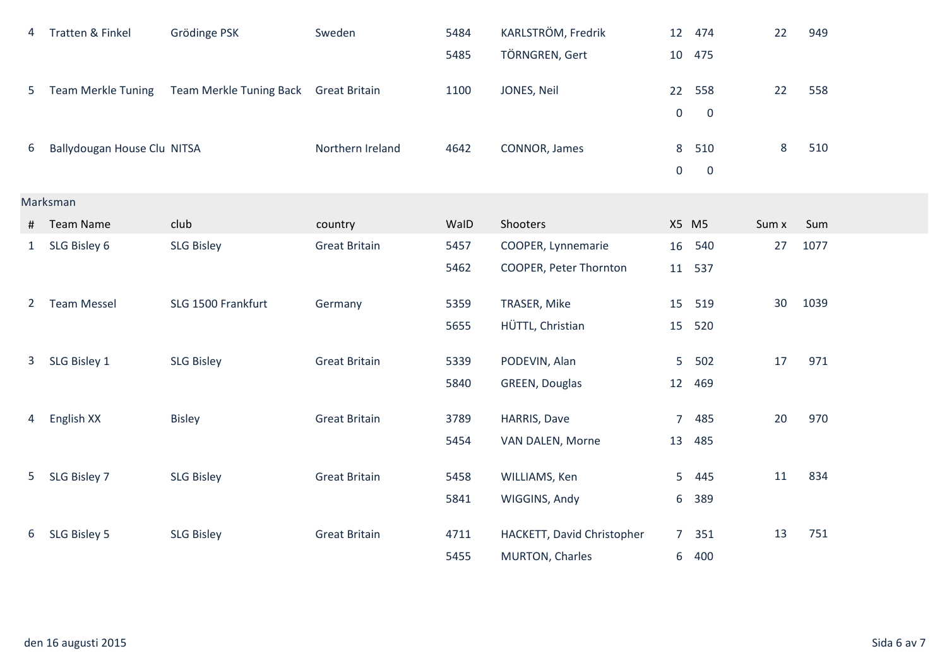| 4            | Tratten & Finkel            | Grödinge PSK                          | Sweden               | 5484 | KARLSTRÖM, Fredrik         | 12               | 474          | 22      | 949  |  |  |
|--------------|-----------------------------|---------------------------------------|----------------------|------|----------------------------|------------------|--------------|---------|------|--|--|
|              |                             |                                       |                      | 5485 | TÖRNGREN, Gert             | 10               | 475          |         |      |  |  |
| 5            | <b>Team Merkle Tuning</b>   | Team Merkle Tuning Back Great Britain |                      | 1100 | JONES, Neil                | 22               | 558          | 22      | 558  |  |  |
|              |                             |                                       |                      |      |                            | $\boldsymbol{0}$ | $\mathbf{0}$ |         |      |  |  |
|              | Ballydougan House Clu NITSA |                                       | Northern Ireland     | 4642 | CONNOR, James              | 8                | 510          | $\bf 8$ | 510  |  |  |
| 6            |                             |                                       |                      |      |                            | $\boldsymbol{0}$ | $\mathbf 0$  |         |      |  |  |
|              |                             |                                       |                      |      |                            |                  |              |         |      |  |  |
| Marksman     |                             |                                       |                      |      |                            |                  |              |         |      |  |  |
| #            | <b>Team Name</b>            | club                                  | country              | WalD | Shooters                   |                  | X5 M5        | Sum x   | Sum  |  |  |
| $\mathbf{1}$ | SLG Bisley 6                | <b>SLG Bisley</b>                     | <b>Great Britain</b> | 5457 | COOPER, Lynnemarie         | 16               | 540          | 27      | 1077 |  |  |
|              |                             |                                       |                      | 5462 | COOPER, Peter Thornton     |                  | 11 537       |         |      |  |  |
| $2^{\circ}$  | <b>Team Messel</b>          | SLG 1500 Frankfurt                    | Germany              | 5359 | TRASER, Mike               | 15               | 519          | 30      | 1039 |  |  |
|              |                             |                                       |                      | 5655 | HÜTTL, Christian           | 15               | 520          |         |      |  |  |
|              |                             |                                       |                      |      |                            |                  |              |         |      |  |  |
| $\mathbf{3}$ | SLG Bisley 1                | <b>SLG Bisley</b>                     | <b>Great Britain</b> | 5339 | PODEVIN, Alan              | 5                | 502          | 17      | 971  |  |  |
|              |                             |                                       |                      | 5840 | GREEN, Douglas             | 12               | 469          |         |      |  |  |
| 4            | English XX                  | <b>Bisley</b>                         | <b>Great Britain</b> | 3789 | HARRIS, Dave               | $\overline{7}$   | 485          | 20      | 970  |  |  |
|              |                             |                                       |                      | 5454 | VAN DALEN, Morne           | 13               | 485          |         |      |  |  |
|              |                             |                                       |                      |      |                            |                  |              |         |      |  |  |
| 5            | SLG Bisley 7                | <b>SLG Bisley</b>                     | <b>Great Britain</b> | 5458 | WILLIAMS, Ken              | 5                | 445          | 11      | 834  |  |  |
|              |                             |                                       |                      | 5841 | WIGGINS, Andy              | 6                | 389          |         |      |  |  |
|              |                             |                                       |                      |      |                            |                  |              |         |      |  |  |
| 6            | SLG Bisley 5                | <b>SLG Bisley</b>                     | <b>Great Britain</b> | 4711 | HACKETT, David Christopher | $\overline{7}$   | 351          | 13      | 751  |  |  |
|              |                             |                                       |                      | 5455 | MURTON, Charles            | 6                | 400          |         |      |  |  |